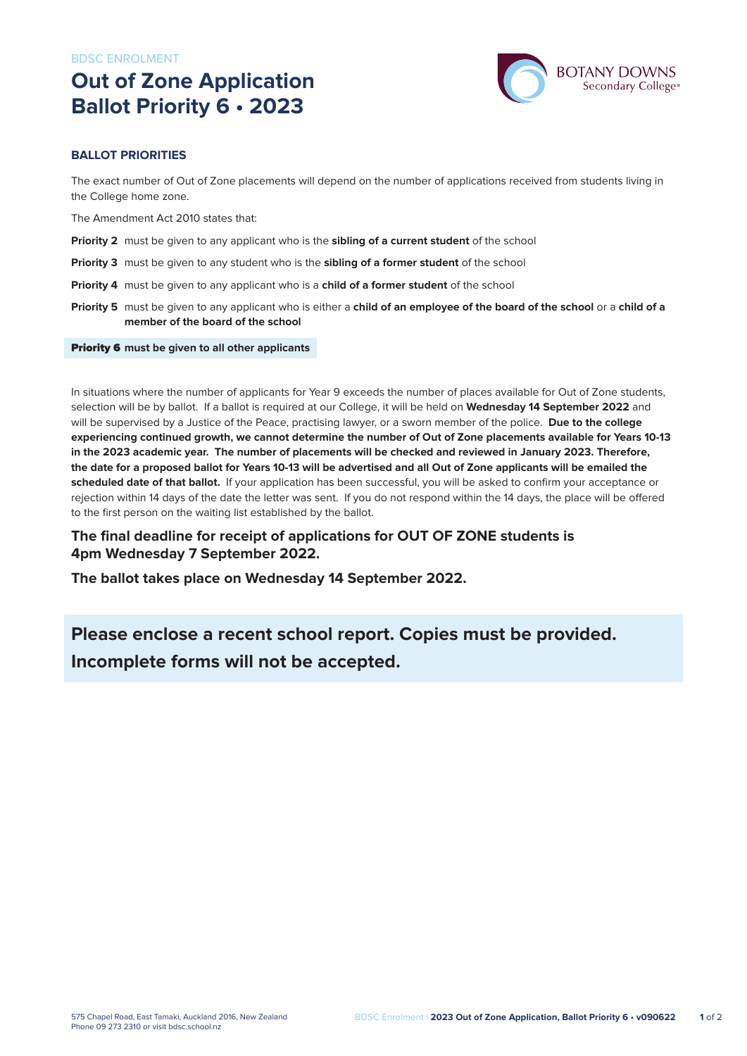# **Out of Zone Application Ballot Priority 6 • 2023**



### **BALLOT PRIORITIES**

The exact number of Out of Zone placements will depend on the number of applications received from students living in the College home zone.

The Amendment Act 2010 states that:

- **Priority 2** must be given to any applicant who is the **sibling of a current student** of the school
- **Priority 3** must be given to any student who is the **sibling of a former student** of the school
- **Priority 4** must be given to any applicant who is a **child of a former student** of the school
- **Priority 5** must be given to any applicant who is either a **child of an employee of the board of the school** or a **child of a member of the board of the school**

#### Priority 6 **must be given to all other applicants**

In situations where the number of applicants for Year 9 exceeds the number of places available for Out of Zone students, selection will be by ballot. If a ballot is required at our College, it will be held on **Wednesday 14 September 2022** and will be supervised by a Justice of the Peace, practising lawyer, or a sworn member of the police. **Due to the college experiencing continued growth, we cannot determine the number of Out of Zone placements available for Years 10-13 in the 2023 academic year. The number of placements will be checked and reviewed in January 2023. Therefore, the date for a proposed ballot for Years 10-13 will be advertised and all Out of Zone applicants will be emailed the scheduled date of that ballot.** If your application has been successful, you will be asked to confirm your acceptance or rejection within 14 days of the date the letter was sent. If you do not respond within the 14 days, the place will be offered to the first person on the waiting list established by the ballot.

### **The final deadline for receipt of applications for OUT OF ZONE students is 4pm Wednesday 7 September 2022.**

**The ballot takes place on Wednesday 14 September 2022.**

## **Please enclose a recent school report. Copies must be provided. Incomplete forms will not be accepted.**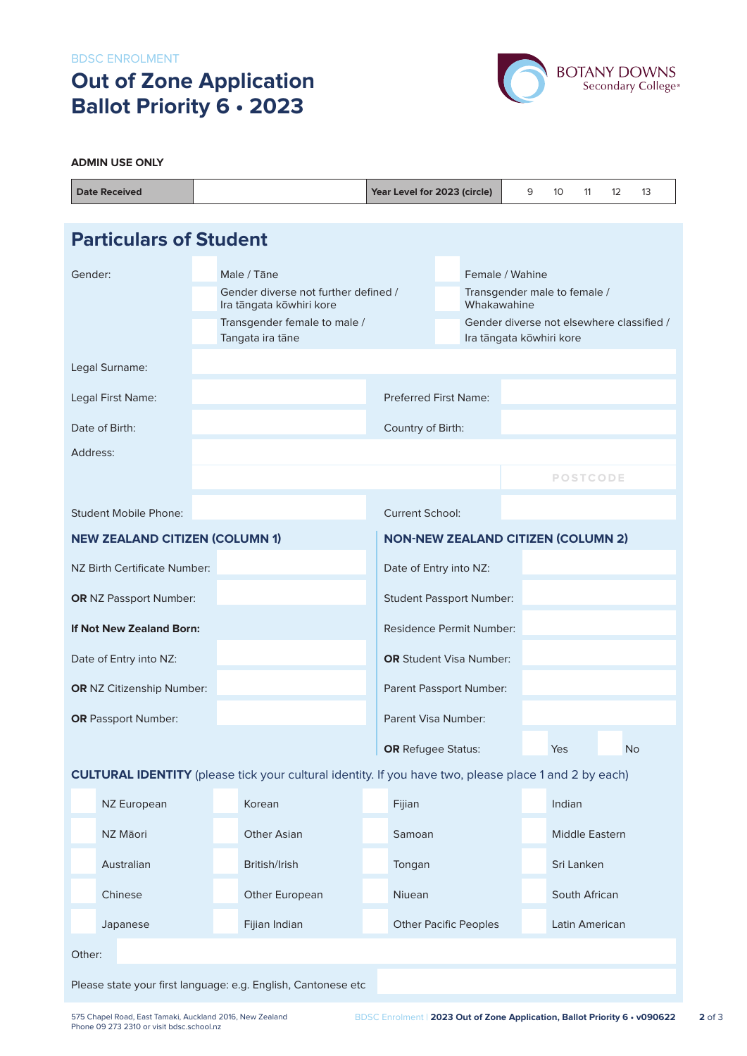BDSC ENROLMENT

# **Out of Zone Application Ballot Priority 6 • 2023**



#### **ADMIN USE ONLY**

| <b>Date Received</b>                                                                                         |                                       |  |                                                                  | Year Level for 2023 (circle) |                                                                       | 9              | 10     | 11              | $12 \overline{ }$ | 13        |  |
|--------------------------------------------------------------------------------------------------------------|---------------------------------------|--|------------------------------------------------------------------|------------------------------|-----------------------------------------------------------------------|----------------|--------|-----------------|-------------------|-----------|--|
|                                                                                                              |                                       |  |                                                                  |                              |                                                                       |                |        |                 |                   |           |  |
| <b>Particulars of Student</b>                                                                                |                                       |  |                                                                  |                              |                                                                       |                |        |                 |                   |           |  |
| Gender:<br>Male / Tāne                                                                                       |                                       |  |                                                                  | Female / Wahine              |                                                                       |                |        |                 |                   |           |  |
|                                                                                                              |                                       |  | Gender diverse not further defined /<br>Ira tāngata kōwhiri kore |                              | Transgender male to female /<br>Whakawahine                           |                |        |                 |                   |           |  |
|                                                                                                              |                                       |  | Transgender female to male /<br>Tangata ira tāne                 |                              | Gender diverse not elsewhere classified /<br>Ira tāngata kōwhiri kore |                |        |                 |                   |           |  |
|                                                                                                              | Legal Surname:                        |  |                                                                  |                              |                                                                       |                |        |                 |                   |           |  |
| Legal First Name:                                                                                            |                                       |  |                                                                  | <b>Preferred First Name:</b> |                                                                       |                |        |                 |                   |           |  |
| Date of Birth:                                                                                               |                                       |  |                                                                  | Country of Birth:            |                                                                       |                |        |                 |                   |           |  |
| Address:                                                                                                     |                                       |  |                                                                  |                              |                                                                       |                |        |                 |                   |           |  |
|                                                                                                              |                                       |  |                                                                  |                              |                                                                       |                |        | <b>POSTCODE</b> |                   |           |  |
| Student Mobile Phone:                                                                                        |                                       |  |                                                                  | <b>Current School:</b>       |                                                                       |                |        |                 |                   |           |  |
|                                                                                                              | <b>NEW ZEALAND CITIZEN (COLUMN 1)</b> |  | <b>NON-NEW ZEALAND CITIZEN (COLUMN 2)</b>                        |                              |                                                                       |                |        |                 |                   |           |  |
| NZ Birth Certificate Number:                                                                                 |                                       |  |                                                                  | Date of Entry into NZ:       |                                                                       |                |        |                 |                   |           |  |
| <b>OR</b> NZ Passport Number:                                                                                |                                       |  |                                                                  |                              | <b>Student Passport Number:</b>                                       |                |        |                 |                   |           |  |
| If Not New Zealand Born:                                                                                     |                                       |  |                                                                  |                              | Residence Permit Number:                                              |                |        |                 |                   |           |  |
| Date of Entry into NZ:                                                                                       |                                       |  |                                                                  |                              | <b>OR</b> Student Visa Number:                                        |                |        |                 |                   |           |  |
|                                                                                                              | <b>OR</b> NZ Citizenship Number:      |  |                                                                  | Parent Passport Number:      |                                                                       |                |        |                 |                   |           |  |
|                                                                                                              | <b>OR</b> Passport Number:            |  |                                                                  | Parent Visa Number:          |                                                                       |                |        |                 |                   |           |  |
|                                                                                                              |                                       |  |                                                                  |                              | <b>OR</b> Refugee Status:                                             |                | Yes    |                 |                   | <b>No</b> |  |
| <b>CULTURAL IDENTITY</b> (please tick your cultural identity. If you have two, please place 1 and 2 by each) |                                       |  |                                                                  |                              |                                                                       |                |        |                 |                   |           |  |
|                                                                                                              | NZ European                           |  | Korean                                                           | Fijian                       |                                                                       |                | Indian |                 |                   |           |  |
|                                                                                                              | NZ Māori                              |  | <b>Other Asian</b>                                               | Samoan                       |                                                                       | Middle Eastern |        |                 |                   |           |  |
|                                                                                                              | Australian                            |  | British/Irish                                                    | Tongan                       |                                                                       | Sri Lanken     |        |                 |                   |           |  |
|                                                                                                              | Chinese                               |  | Other European                                                   | Niuean                       |                                                                       | South African  |        |                 |                   |           |  |
|                                                                                                              | Japanese                              |  | Fijian Indian                                                    |                              | <b>Other Pacific Peoples</b><br>Latin American                        |                |        |                 |                   |           |  |
| Other:                                                                                                       |                                       |  |                                                                  |                              |                                                                       |                |        |                 |                   |           |  |
|                                                                                                              |                                       |  | Please state your first language: e.g. English, Cantonese etc    |                              |                                                                       |                |        |                 |                   |           |  |